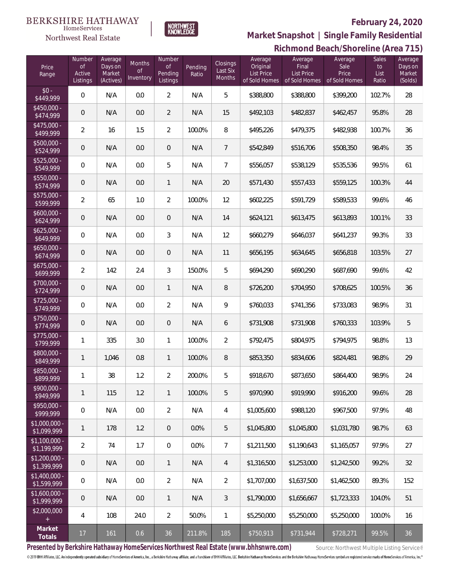#### **BERKSHIRE HATHAWAY**  $\label{lem:sevices} \textsc{Home} \textsc{Service} \textsc{s}$

# Northwest Real Estate

## **February 24, 2020**



**Richmond Beach/Shoreline (Area 715) Market Snapshot | Single Family Residential**

| Price<br>Range                | Number<br>0f<br>Active<br>Listings | Average<br>Days on<br>Market<br>(Actives) | <b>Months</b><br><b>of</b><br>Inventory | Number<br><b>of</b><br>Pending<br>Listings | Pending<br>Ratio | <b>Closings</b><br>Last Six<br>Months | Average<br>Original<br><b>List Price</b><br>of Sold Homes | Average<br>Final<br>List Price<br>of Sold Homes | Average<br>Sale<br>Price<br>of Sold Homes | Sales<br>to<br>List<br>Ratio | $-1$<br>Average<br>Days on<br>Market<br>(Solds) |
|-------------------------------|------------------------------------|-------------------------------------------|-----------------------------------------|--------------------------------------------|------------------|---------------------------------------|-----------------------------------------------------------|-------------------------------------------------|-------------------------------------------|------------------------------|-------------------------------------------------|
| $$0 -$<br>\$449,999           | $\mathbf 0$                        | N/A                                       | 0.0                                     | $\overline{2}$                             | N/A              | 5                                     | \$388,800                                                 | \$388,800                                       | \$399,200                                 | 102.7%                       | 28                                              |
| $$450,000 -$<br>\$474,999     | $\mathsf{O}\xspace$                | N/A                                       | 0.0                                     | $\overline{2}$                             | N/A              | 15                                    | \$492,103                                                 | \$482,837                                       | \$462,457                                 | 95.8%                        | 28                                              |
| $$475,000 -$<br>\$499,999     | $\overline{2}$                     | 16                                        | 1.5                                     | $\overline{2}$                             | 100.0%           | 8                                     | \$495,226                                                 | \$479,375                                       | \$482,938                                 | 100.7%                       | 36                                              |
| $$500,000 -$<br>\$524,999     | $\mathsf{O}\xspace$                | N/A                                       | 0.0                                     | $\mathbf 0$                                | N/A              | 7                                     | \$542,849                                                 | \$516,706                                       | \$508,350                                 | 98.4%                        | 35                                              |
| $$525,000 -$<br>\$549,999     | $\,0\,$                            | N/A                                       | 0.0                                     | 5                                          | N/A              | 7                                     | \$556,057                                                 | \$538,129                                       | \$535,536                                 | 99.5%                        | 61                                              |
| \$550,000 -<br>\$574,999      | $\mathbf 0$                        | N/A                                       | 0.0                                     | $\mathbf{1}$                               | N/A              | 20                                    | \$571,430                                                 | \$557,433                                       | \$559,125                                 | 100.3%                       | 44                                              |
| \$575,000 -<br>\$599,999      | $\overline{2}$                     | 65                                        | 1.0                                     | $\overline{2}$                             | 100.0%           | 12                                    | \$602,225                                                 | \$591,729                                       | \$589,533                                 | 99.6%                        | 46                                              |
| $$600,000 -$<br>\$624,999     | $\mathsf{O}\xspace$                | N/A                                       | 0.0                                     | $\overline{0}$                             | N/A              | 14                                    | \$624,121                                                 | \$613,475                                       | \$613,893                                 | 100.1%                       | 33                                              |
| $$625,000 -$<br>\$649,999     | $\,0\,$                            | N/A                                       | 0.0                                     | $\mathfrak{Z}$                             | N/A              | 12                                    | \$660,279                                                 | \$646,037                                       | \$641,237                                 | 99.3%                        | 33                                              |
| $$650,000 -$<br>\$674,999     | $\mathsf{O}\xspace$                | N/A                                       | 0.0                                     | $\overline{0}$                             | N/A              | 11                                    | \$656,195                                                 | \$634,645                                       | \$656,818                                 | 103.5%                       | 27                                              |
| $$675,000 -$<br>\$699,999     | $\overline{2}$                     | 142                                       | 2.4                                     | $\mathfrak{Z}$                             | 150.0%           | 5                                     | \$694,290                                                 | \$690,290                                       | \$687,690                                 | 99.6%                        | 42                                              |
| \$700,000 -<br>\$724,999      | $\mathsf{O}\xspace$                | N/A                                       | 0.0                                     | $\mathbf{1}$                               | N/A              | 8                                     | \$726,200                                                 | \$704,950                                       | \$708,625                                 | 100.5%                       | 36                                              |
| $$725,000 -$<br>\$749,999     | $\,0\,$                            | N/A                                       | 0.0                                     | $\overline{2}$                             | N/A              | 9                                     | \$760,033                                                 | \$741,356                                       | \$733,083                                 | 98.9%                        | 31                                              |
| \$750,000 -<br>\$774,999      | $\mathbf 0$                        | N/A                                       | 0.0                                     | $\mathbf 0$                                | N/A              | 6                                     | \$731,908                                                 | \$731,908                                       | \$760,333                                 | 103.9%                       | 5                                               |
| $$775,000 -$<br>\$799,999     | 1                                  | 335                                       | 3.0                                     | $\mathbf{1}$                               | 100.0%           | $\overline{2}$                        | \$792,475                                                 | \$804,975                                       | \$794,975                                 | 98.8%                        | 13                                              |
| \$800,000 -<br>\$849,999      | $\mathbf{1}$                       | 1,046                                     | 0.8                                     | $\mathbf{1}$                               | 100.0%           | 8                                     | \$853,350                                                 | \$834,606                                       | \$824,481                                 | 98.8%                        | 29                                              |
| \$850,000 -<br>\$899,999      | 1                                  | 38                                        | 1.2                                     | $\overline{2}$                             | 200.0%           | 5                                     | \$918,670                                                 | \$873,650                                       | \$864,400                                 | 98.9%                        | 24                                              |
| $$900,000 -$<br>\$949,999     | $\mathbf{1}$                       | 115                                       | 1.2                                     | $\mathbf{1}$                               | 100.0%           | 5                                     | \$970.990                                                 | \$919.990                                       | \$916,200                                 | 99.6%                        | 28                                              |
| $$950,000 -$<br>\$999,999     | $\mathbf 0$                        | N/A                                       | 0.0                                     | $\overline{2}$                             | N/A              | $\sqrt{4}$                            | \$1,005,600                                               | \$988,120                                       | \$967,500                                 | 97.9%                        | 48                                              |
| $$1,000,000 -$<br>\$1,099,999 | $\mathbf{1}$                       | 178                                       | 1.2                                     | $\mathbf 0$                                | 0.0%             | 5                                     | \$1,045,800                                               | \$1,045,800                                     | \$1,031,780                               | 98.7%                        | 63                                              |
| $$1,100,000 -$<br>\$1,199,999 | 2                                  | 74                                        | 1.7                                     | $\,0\,$                                    | 0.0%             | $\overline{7}$                        | \$1,211,500                                               | \$1,190,643                                     | \$1,165,057                               | 97.9%                        | 27                                              |
| $$1,200,000 -$<br>\$1,399,999 | $\overline{0}$                     | N/A                                       | 0.0                                     | $\mathbf{1}$                               | N/A              | $\overline{4}$                        | \$1,316,500                                               | \$1,253,000                                     | \$1,242,500                               | 99.2%                        | 32                                              |
| $$1,400,000 -$<br>\$1,599,999 | $\mathbf 0$                        | N/A                                       | 0.0                                     | $\overline{2}$                             | N/A              | $\overline{2}$                        | \$1,707,000                                               | \$1,637,500                                     | \$1,462,500                               | 89.3%                        | 152                                             |
| $$1,600,000 -$<br>\$1,999,999 | $\overline{0}$                     | N/A                                       | 0.0                                     | $\mathbf{1}$                               | N/A              | 3                                     | \$1,790,000                                               | \$1,656,667                                     | \$1,723,333                               | 104.0%                       | 51                                              |
| \$2,000,000                   | 4                                  | 108                                       | 24.0                                    | $\overline{2}$                             | 50.0%            | $\mathbf{1}$                          | \$5,250,000                                               | \$5,250,000                                     | \$5,250,000                               | 100.0%                       | 16                                              |
| Market<br>Totals              | 17                                 | 161                                       | 0.6                                     | 36                                         | 211.8%           | 185                                   | \$750,913                                                 | \$731,944                                       | \$728,271                                 | 99.5%                        | 36                                              |

Presented by Berkshire Hathaway HomeServices Northwest Real Estate (www.bhhsnwre.com) Source: Northwest Multiple Listing Service®

© 2019 BHH Affiliates, LLC. An independently operated subsidiary of HomeServices of America, Inc., a Berkshire Hathaway affiliate, and a franchisee of BHH Affiliates, LLC. Berkshire Hathaway HomeServices and the Berkshire